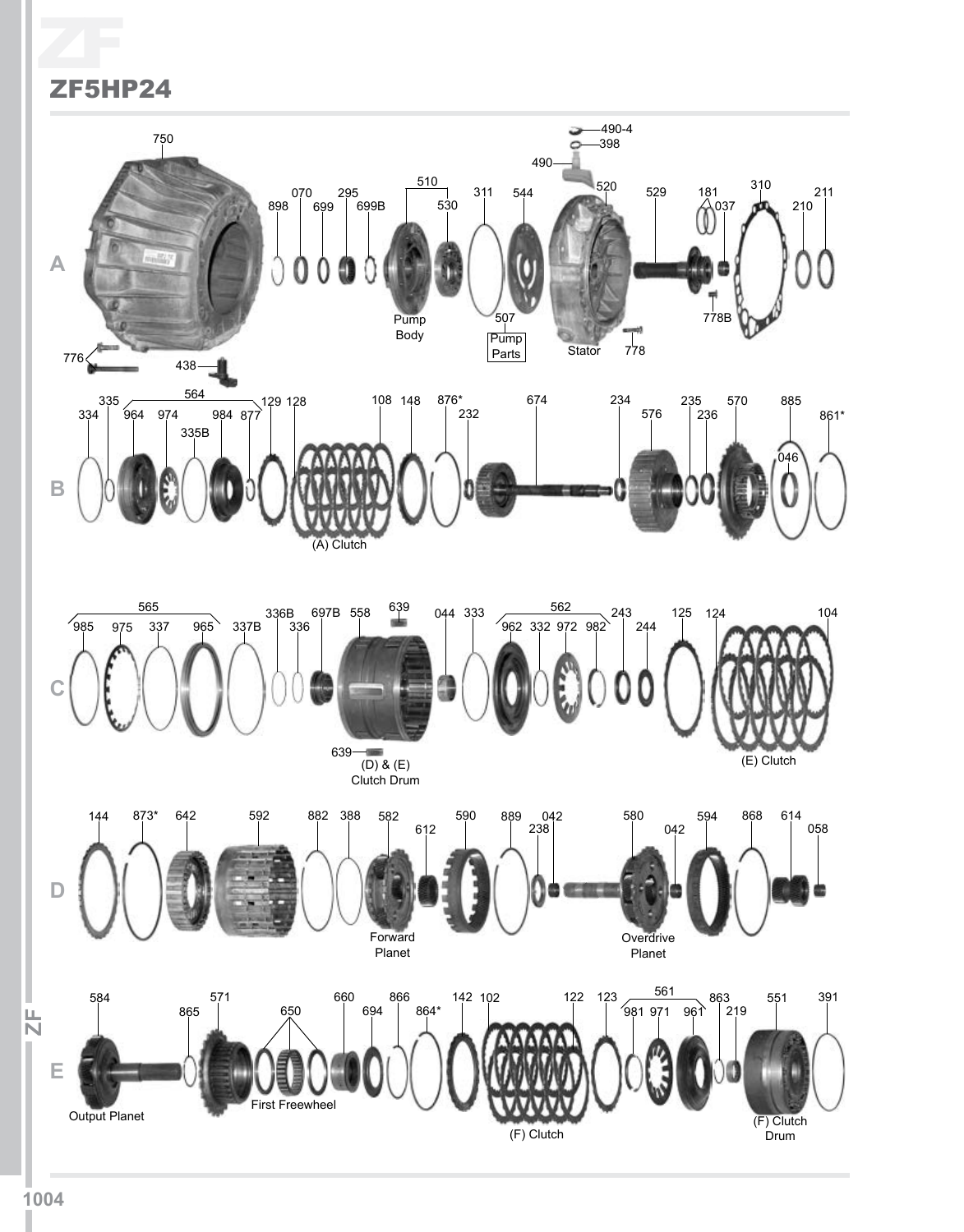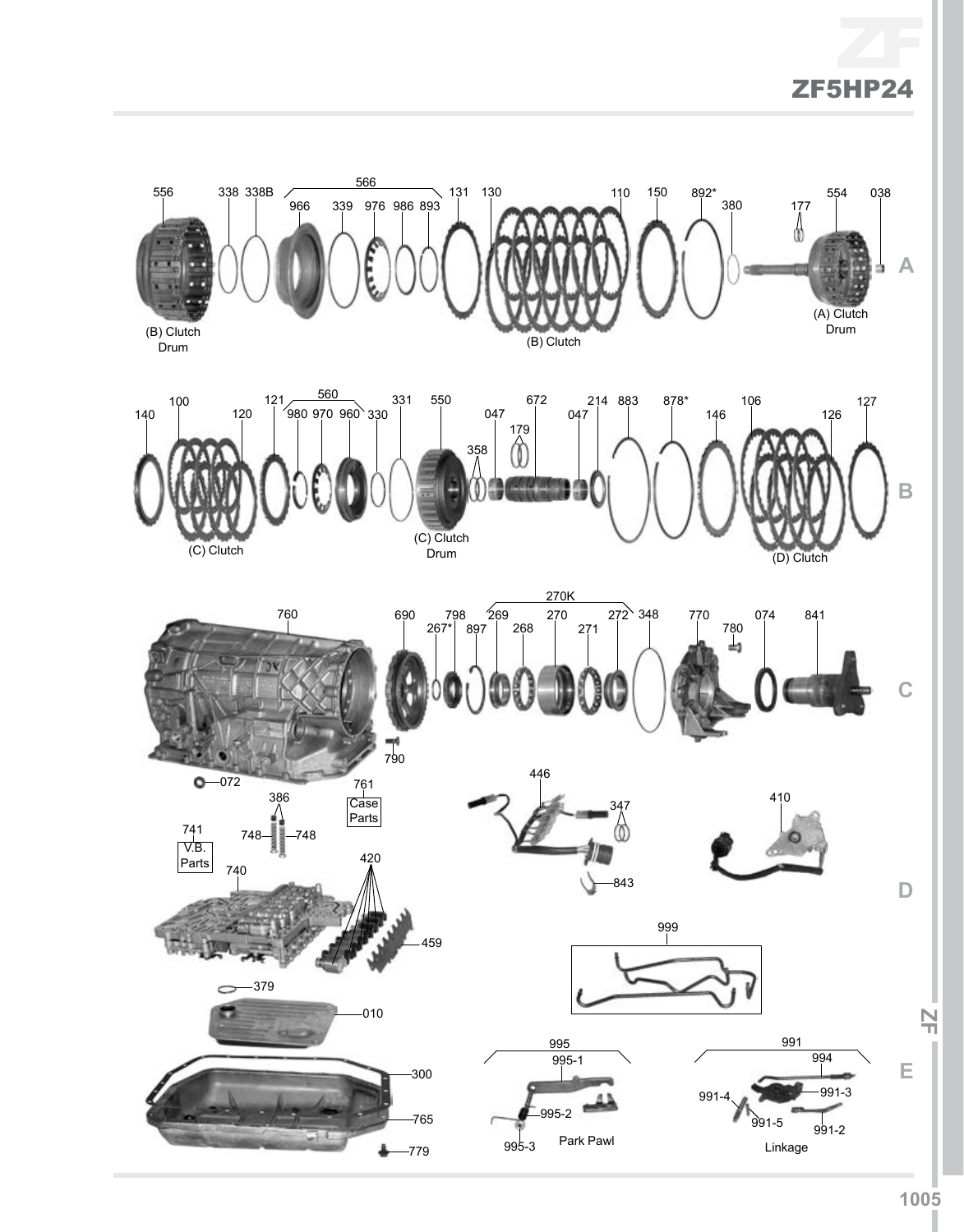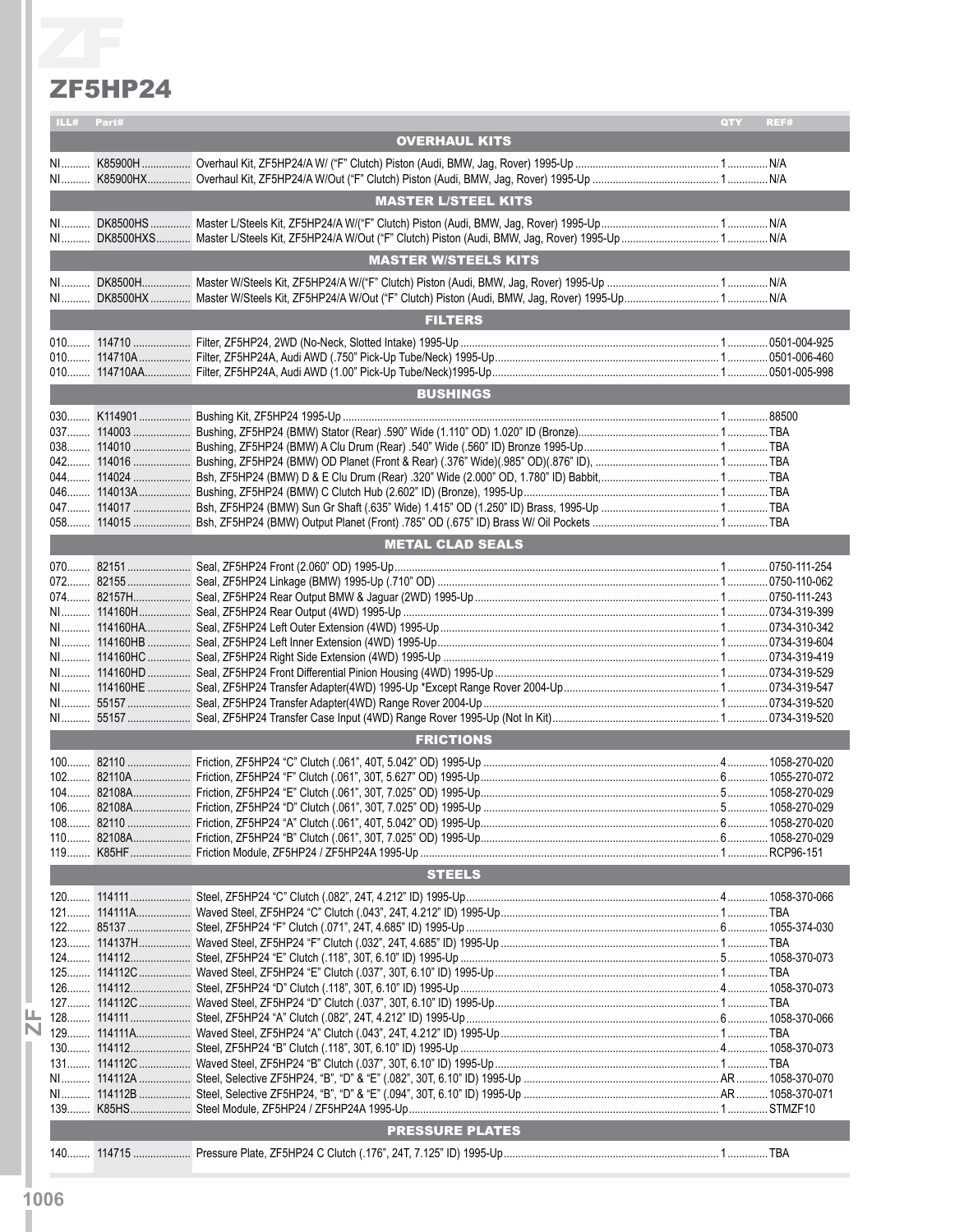#### ZF5HP24

|    | <b>ZF5HP24</b> |                             |     |      |
|----|----------------|-----------------------------|-----|------|
|    | ILL# Part#     |                             | QTY | REF# |
|    |                | <b>OVERHAUL KITS</b>        |     |      |
|    |                |                             |     |      |
|    |                | <b>MASTER L/STEEL KITS</b>  |     |      |
|    |                |                             |     |      |
|    |                | <b>MASTER W/STEELS KITS</b> |     |      |
|    |                |                             |     |      |
|    |                | <b>FILTERS</b>              |     |      |
|    |                |                             |     |      |
|    |                |                             |     |      |
|    |                |                             |     |      |
|    |                | <b>BUSHINGS</b>             |     |      |
|    |                |                             |     |      |
|    |                |                             |     |      |
|    |                |                             |     |      |
|    |                |                             |     |      |
|    |                |                             |     |      |
|    |                |                             |     |      |
|    |                | <b>METAL CLAD SEALS</b>     |     |      |
|    |                |                             |     |      |
|    |                |                             |     |      |
|    |                |                             |     |      |
|    |                |                             |     |      |
|    |                |                             |     |      |
|    |                |                             |     |      |
|    |                |                             |     |      |
|    |                |                             |     |      |
|    |                |                             |     |      |
| N1 | 55157          |                             |     |      |
|    |                | <b>FRICTIONS</b>            |     |      |
|    |                |                             |     |      |
|    |                |                             |     |      |
|    |                |                             |     |      |
|    |                |                             |     |      |
|    |                |                             |     |      |
|    |                |                             |     |      |
|    |                | <b>STEELS</b>               |     |      |
|    |                |                             |     |      |
|    |                |                             |     |      |
|    |                |                             |     |      |
|    |                |                             |     |      |
|    |                |                             |     |      |
|    |                |                             |     |      |
|    |                |                             |     |      |
|    |                |                             |     |      |
|    |                |                             |     |      |
|    |                |                             |     |      |
|    |                |                             |     |      |
|    |                |                             |     |      |
|    |                |                             |     |      |
|    |                | <b>PRESSURE PLATES</b>      |     |      |
|    |                |                             |     |      |
|    |                |                             |     |      |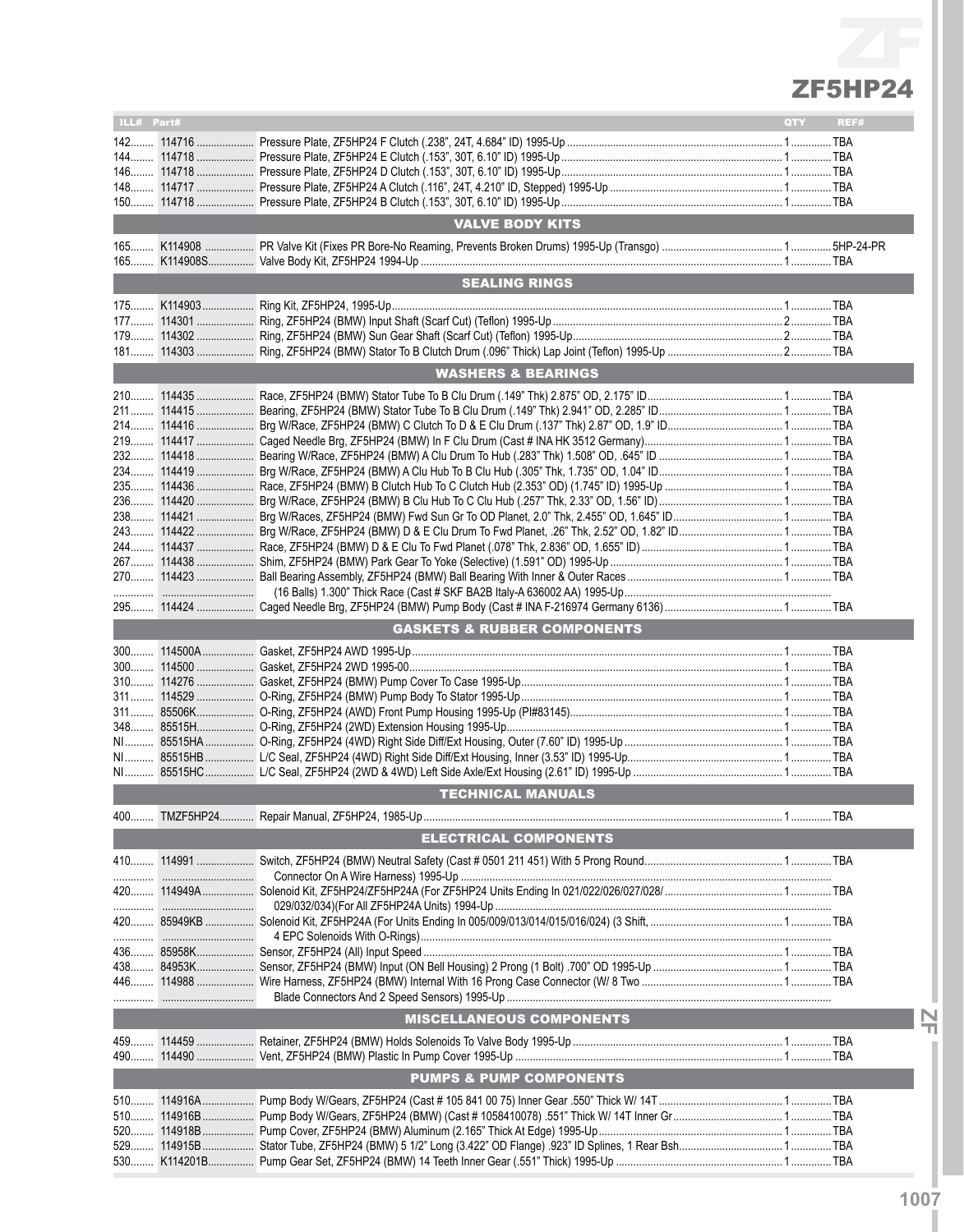| ILL# Part# |            |                                                                                  | QTY | REF# |
|------------|------------|----------------------------------------------------------------------------------|-----|------|
|            |            |                                                                                  |     |      |
|            |            |                                                                                  |     |      |
|            |            |                                                                                  |     |      |
|            |            |                                                                                  |     |      |
| 148        |            |                                                                                  |     |      |
|            |            |                                                                                  |     |      |
|            |            |                                                                                  |     |      |
|            |            | <b>VALVE BODY KITS</b>                                                           |     |      |
|            |            |                                                                                  |     |      |
|            |            |                                                                                  |     |      |
|            |            |                                                                                  |     |      |
|            |            | <b>SEALING RINGS</b>                                                             |     |      |
|            |            |                                                                                  |     |      |
|            |            |                                                                                  |     |      |
|            |            |                                                                                  |     |      |
|            |            |                                                                                  |     |      |
|            |            |                                                                                  |     |      |
|            |            |                                                                                  |     |      |
|            |            | <b>WASHERS &amp; BEARINGS</b>                                                    |     |      |
|            |            |                                                                                  |     |      |
|            |            |                                                                                  |     |      |
|            |            |                                                                                  |     |      |
|            |            |                                                                                  |     |      |
|            |            |                                                                                  |     |      |
|            |            |                                                                                  |     |      |
|            |            |                                                                                  |     |      |
|            |            |                                                                                  |     |      |
|            |            |                                                                                  |     |      |
|            |            |                                                                                  |     |      |
|            |            |                                                                                  |     |      |
|            |            |                                                                                  |     |      |
|            |            |                                                                                  |     |      |
|            |            |                                                                                  |     |      |
|            |            |                                                                                  |     |      |
|            |            |                                                                                  |     |      |
|            |            |                                                                                  |     |      |
|            |            |                                                                                  |     |      |
|            |            |                                                                                  |     |      |
|            |            |                                                                                  |     |      |
|            |            | <b>GASKETS &amp; RUBBER COMPONENTS</b>                                           |     |      |
|            |            |                                                                                  |     |      |
|            |            |                                                                                  |     |      |
|            |            |                                                                                  |     |      |
| $310$      |            |                                                                                  |     |      |
| $311$      |            |                                                                                  |     |      |
|            |            |                                                                                  |     |      |
|            |            |                                                                                  |     |      |
|            |            |                                                                                  |     |      |
|            |            |                                                                                  |     |      |
|            |            |                                                                                  |     |      |
|            |            |                                                                                  |     |      |
|            |            |                                                                                  |     |      |
|            |            | <b>TECHNICAL MANUALS</b>                                                         |     |      |
|            |            |                                                                                  |     |      |
|            |            |                                                                                  |     |      |
|            |            | <b>ELECTRICAL COMPONENTS</b>                                                     |     |      |
|            | 410 114991 |                                                                                  |     |      |
|            |            |                                                                                  |     |      |
|            |            |                                                                                  |     |      |
|            |            |                                                                                  |     |      |
|            |            | 029/032/034)(For All ZF5HP24A Units) 1994-Up …………………………………………………………………………………………… |     |      |
|            |            |                                                                                  |     |      |
|            |            |                                                                                  |     |      |
|            | 436 85958K |                                                                                  |     |      |
|            |            |                                                                                  |     |      |
|            | 438 84953K |                                                                                  |     |      |
|            |            |                                                                                  |     |      |
|            |            |                                                                                  |     |      |
|            |            |                                                                                  |     |      |
|            |            | <b>MISCELLANEOUS COMPONENTS</b>                                                  |     |      |
|            | 459 114459 |                                                                                  |     |      |
|            |            |                                                                                  |     |      |
| 490        |            |                                                                                  |     |      |
|            |            | <b>PUMPS &amp; PUMP COMPONENTS</b>                                               |     |      |
|            |            |                                                                                  |     |      |
| 510        |            |                                                                                  |     |      |
| 510        | 114916B    |                                                                                  |     |      |
| 520        | 114918B    |                                                                                  |     |      |
| 529.       | 114915B    |                                                                                  |     |      |
|            |            |                                                                                  |     |      |
| 530        | K114201B   |                                                                                  |     |      |

**IZFI**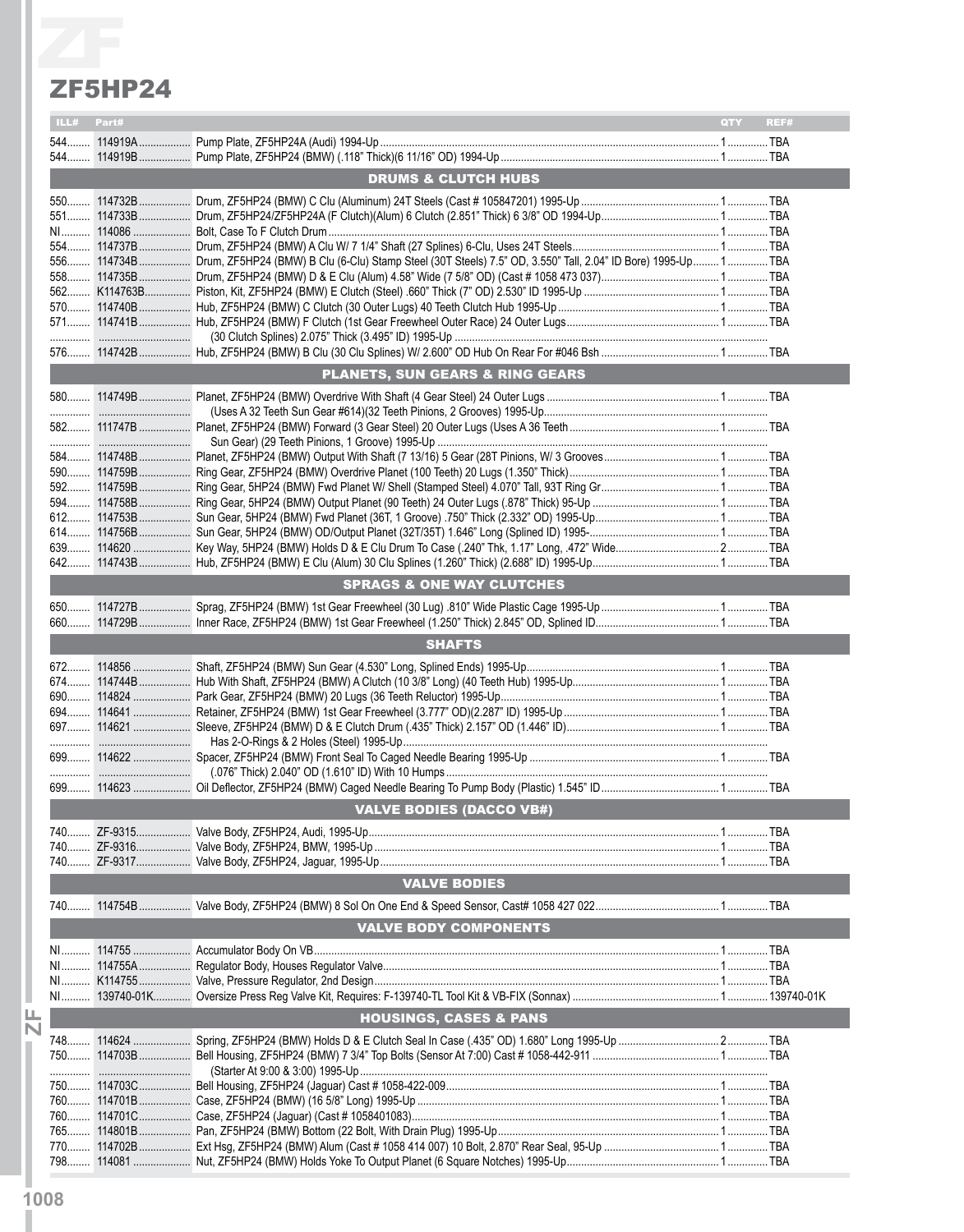#### ZF5HP24

| ZF5HP24    |                                                                                                                           |             |
|------------|---------------------------------------------------------------------------------------------------------------------------|-------------|
|            |                                                                                                                           |             |
| ILL# Part# |                                                                                                                           | QTY<br>REF# |
|            |                                                                                                                           |             |
|            |                                                                                                                           |             |
|            | <b>DRUMS &amp; CLUTCH HUBS</b>                                                                                            |             |
|            |                                                                                                                           |             |
|            |                                                                                                                           |             |
|            |                                                                                                                           |             |
|            | 556 114734B Drum, ZF5HP24 (BMW) B Clu (6-Clu) Stamp Steel (30T Steels) 7.5" OD, 3.550" Tall, 2.04" ID Bore) 1995-Up 1 TBA |             |
|            |                                                                                                                           |             |
|            |                                                                                                                           |             |
|            |                                                                                                                           |             |
|            |                                                                                                                           |             |
|            |                                                                                                                           |             |
|            |                                                                                                                           |             |
|            | <b>PLANETS, SUN GEARS &amp; RING GEARS</b>                                                                                |             |
|            |                                                                                                                           |             |
|            |                                                                                                                           |             |
|            |                                                                                                                           |             |
|            |                                                                                                                           |             |
|            |                                                                                                                           |             |
|            |                                                                                                                           |             |
|            |                                                                                                                           |             |
|            |                                                                                                                           |             |
|            |                                                                                                                           |             |
|            |                                                                                                                           |             |
|            |                                                                                                                           |             |
|            | <b>SPRAGS &amp; ONE WAY CLUTCHES</b>                                                                                      |             |
|            |                                                                                                                           |             |
|            |                                                                                                                           |             |
|            | <b>SHAFTS</b>                                                                                                             |             |
|            |                                                                                                                           |             |
|            |                                                                                                                           |             |
|            |                                                                                                                           |             |
|            |                                                                                                                           |             |
|            |                                                                                                                           |             |
|            |                                                                                                                           |             |
|            |                                                                                                                           |             |
|            |                                                                                                                           |             |
|            |                                                                                                                           |             |
|            | <b>VALVE BODIES (DACCO VB#)</b>                                                                                           |             |
|            |                                                                                                                           |             |
|            |                                                                                                                           |             |
|            |                                                                                                                           |             |
|            |                                                                                                                           |             |
|            | <b>VALVE BODIES</b>                                                                                                       |             |
|            |                                                                                                                           |             |
|            | <b>VALVE BODY COMPONENTS</b>                                                                                              |             |
|            |                                                                                                                           |             |
|            |                                                                                                                           |             |
|            |                                                                                                                           |             |
|            |                                                                                                                           |             |
|            | <b>HOUSINGS, CASES &amp; PANS</b>                                                                                         |             |
|            |                                                                                                                           |             |
|            |                                                                                                                           |             |
|            |                                                                                                                           |             |
|            |                                                                                                                           |             |
|            |                                                                                                                           |             |
|            |                                                                                                                           |             |
|            |                                                                                                                           |             |
|            |                                                                                                                           |             |
|            |                                                                                                                           |             |
|            |                                                                                                                           |             |